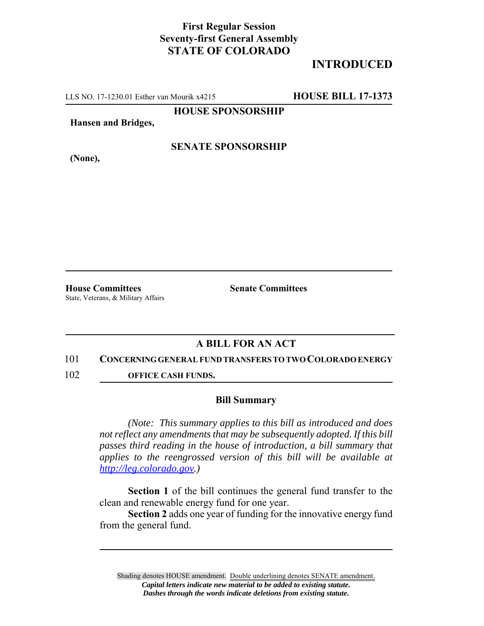## **First Regular Session Seventy-first General Assembly STATE OF COLORADO**

# **INTRODUCED**

LLS NO. 17-1230.01 Esther van Mourik x4215 **HOUSE BILL 17-1373**

**HOUSE SPONSORSHIP**

**Hansen and Bridges,**

**(None),**

### **SENATE SPONSORSHIP**

**House Committees Senate Committees** State, Veterans, & Military Affairs

### **A BILL FOR AN ACT**

#### 101 **CONCERNING GENERAL FUND TRANSFERS TO TWO COLORADO ENERGY**

102 **OFFICE CASH FUNDS.**

#### **Bill Summary**

*(Note: This summary applies to this bill as introduced and does not reflect any amendments that may be subsequently adopted. If this bill passes third reading in the house of introduction, a bill summary that applies to the reengrossed version of this bill will be available at http://leg.colorado.gov.)*

**Section 1** of the bill continues the general fund transfer to the clean and renewable energy fund for one year.

**Section 2** adds one year of funding for the innovative energy fund from the general fund.

Shading denotes HOUSE amendment. Double underlining denotes SENATE amendment. *Capital letters indicate new material to be added to existing statute. Dashes through the words indicate deletions from existing statute.*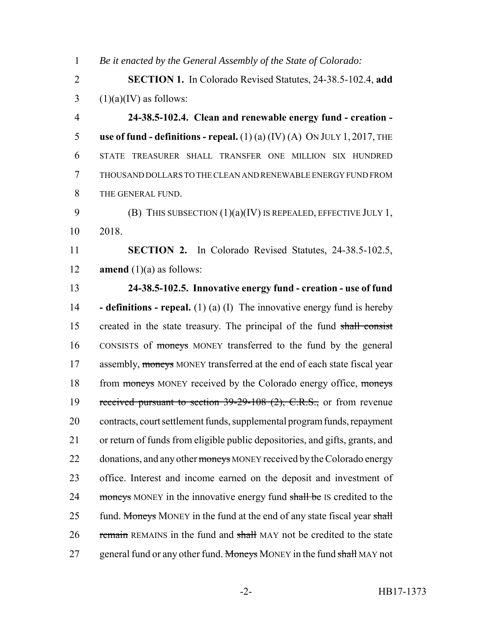1 *Be it enacted by the General Assembly of the State of Colorado:*

2 **SECTION 1.** In Colorado Revised Statutes, 24-38.5-102.4, **add** 3  $(1)(a)(IV)$  as follows:

 **24-38.5-102.4. Clean and renewable energy fund - creation - use of fund - definitions - repeal.** (1) (a) (IV) (A) ON JULY 1, 2017, THE STATE TREASURER SHALL TRANSFER ONE MILLION SIX HUNDRED THOUSAND DOLLARS TO THE CLEAN AND RENEWABLE ENERGY FUND FROM THE GENERAL FUND.

9 **(B)** THIS SUBSECTION  $(1)(a)(IV)$  IS REPEALED, EFFECTIVE JULY 1, 10 2018.

11 **SECTION 2.** In Colorado Revised Statutes, 24-38.5-102.5, 12 **amend**  $(1)(a)$  as follows:

13 **24-38.5-102.5. Innovative energy fund - creation - use of fund** 14 **- definitions - repeal.** (1) (a) (I) The innovative energy fund is hereby 15 created in the state treasury. The principal of the fund shall consist 16 CONSISTS of moneys MONEY transferred to the fund by the general 17 assembly, moneys MONEY transferred at the end of each state fiscal year 18 from moneys MONEY received by the Colorado energy office, moneys 19 received pursuant to section 39-29-108 (2), C.R.S., or from revenue 20 contracts, court settlement funds, supplemental program funds, repayment 21 or return of funds from eligible public depositories, and gifts, grants, and 22 donations, and any other moneys MONEY received by the Colorado energy 23 office. Interest and income earned on the deposit and investment of 24 moneys MONEY in the innovative energy fund shall be IS credited to the 25 fund. Moneys MONEY in the fund at the end of any state fiscal year shall 26 remain REMAINS in the fund and shall MAY not be credited to the state 27 general fund or any other fund. Moneys MONEY in the fund shall MAY not